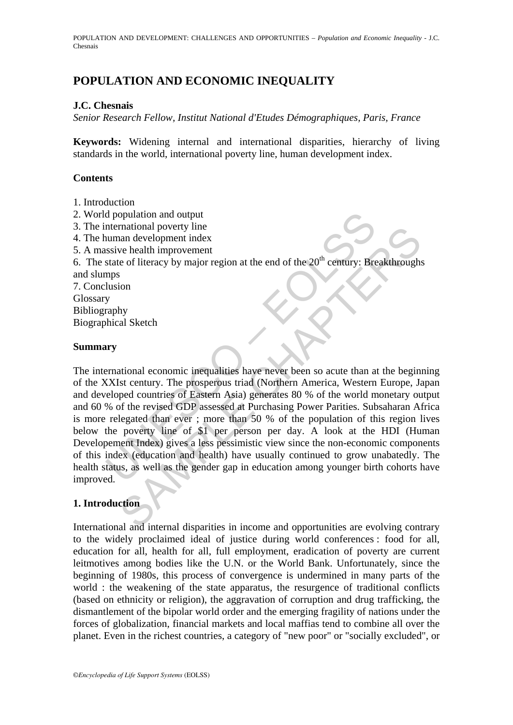POPULATION AND DEVELOPMENT: CHALLENGES AND OPPORTUNITIES – *Population and Economic Inequality* - J.C. Chesnais

## **POPULATION AND ECONOMIC INEQUALITY**

## **J.C. Chesnais**

*Senior Research Fellow, Institut National d'Etudes Démographiques, Paris, France* 

**Keywords:** Widening internal and international disparities, hierarchy of living standards in the world, international poverty line, human development index.

### **Contents**

- 1. Introduction
- 2. World population and output
- 3. The international poverty line
- 4. The human development index
- 5. A massive health improvement

6. The state of literacy by major region at the end of the  $20<sup>th</sup>$  century: Breakthroughs and slumps

7. Conclusion Glossary Bibliography Biographical Sketch

#### **Summary**

d population and output<br>
nternational poverty line<br>
usuan development index<br>
state of literacy by major region at the end of the 20<sup>th</sup> century: Bre<br>
mps<br>
usion<br>
y<br>
y<br>
mps<br>
usion<br>
y<br>
wermational economic inequalities have man development index<br>
and evelopment index<br>
we health improvement<br>
e of literacy by major region at the end of the 20<sup>th</sup> century: Breakthrough:<br>
Shown<br>
thy<br>
al Sketch<br>
Shown<br>
and economic inequalities have never been so The international economic inequalities have never been so acute than at the beginning of the XXIst century. The prosperous triad (Northern America, Western Europe, Japan and developed countries of Eastern Asia) generates 80 % of the world monetary output and 60 % of the revised GDP assessed at Purchasing Power Parities. Subsaharan Africa is more relegated than ever ; more than 50 % of the population of this region lives below the poverty line of \$1 per person per day. A look at the HDI (Human Developement Index) gives a less pessimistic view since the non-economic components of this index (education and health) have usually continued to grow unabatedly. The health status, as well as the gender gap in education among younger birth cohorts have improved.

## **1. Introduction**

International and internal disparities in income and opportunities are evolving contrary to the widely proclaimed ideal of justice during world conferences : food for all, education for all, health for all, full employment, eradication of poverty are current leitmotives among bodies like the U.N. or the World Bank. Unfortunately, since the beginning of 1980s, this process of convergence is undermined in many parts of the world : the weakening of the state apparatus, the resurgence of traditional conflicts (based on ethnicity or religion), the aggravation of corruption and drug trafficking, the dismantlement of the bipolar world order and the emerging fragility of nations under the forces of globalization, financial markets and local maffias tend to combine all over the planet. Even in the richest countries, a category of "new poor" or "socially excluded", or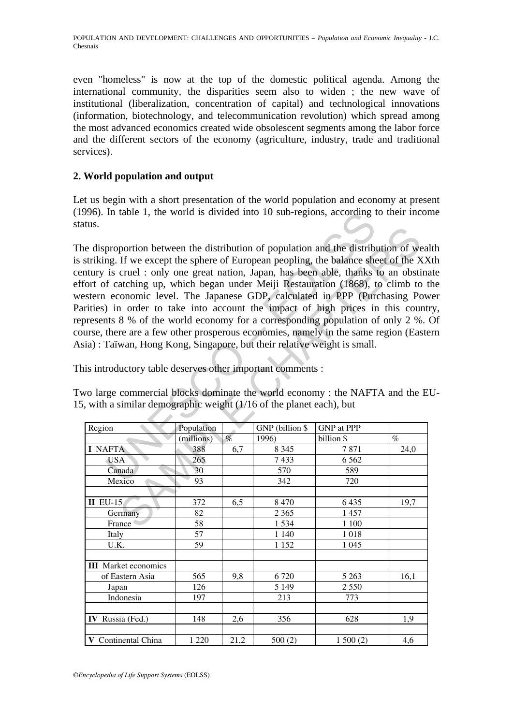even "homeless" is now at the top of the domestic political agenda. Among the international community, the disparities seem also to widen ; the new wave of institutional (liberalization, concentration of capital) and technological innovations (information, biotechnology, and telecommunication revolution) which spread among the most advanced economics created wide obsolescent segments among the labor force and the different sectors of the economy (agriculture, industry, trade and traditional services).

## **2. World population and output**

Let us begin with a short presentation of the world population and economy at present (1996). In table 1, the world is divided into 10 sub-regions, according to their income status.

In table 1, the world is divided into 10 sub-regions, according the<br>proportion between the distribution of population and the distributed<br>mg. If we except the sphere of European peopling, the balance she<br>is cruel : only o The disproportion between the distribution of population and the distribution of wealth is striking. If we except the sphere of European peopling, the balance sheet of the XXth century is cruel : only one great nation, Japan, has been able, thanks to an obstinate effort of catching up, which began under Meiji Restauration (1868), to climb to the western economic level. The Japanese GDP, calculated in PPP (Purchasing Power Parities) in order to take into account the impact of high prices in this country, represents 8 % of the world economy for a corresponding population of only 2 %. Of course, there are a few other prosperous economies, namely in the same region (Eastern Asia) : Taïwan, Hong Kong, Singapore, but their relative weight is small.

Two large commercial blocks dominate the world economy : the NAFTA and the EU-15, with a similar demographic weight (1/16 of the planet each), but

| .uus.                                                                                                                                                                                                                                                                                                                                                                                                                                                                                                                                                                                                                                                                                                                                                                                                                                                                                                                                                                              |            |                       |                 |                   |      |
|------------------------------------------------------------------------------------------------------------------------------------------------------------------------------------------------------------------------------------------------------------------------------------------------------------------------------------------------------------------------------------------------------------------------------------------------------------------------------------------------------------------------------------------------------------------------------------------------------------------------------------------------------------------------------------------------------------------------------------------------------------------------------------------------------------------------------------------------------------------------------------------------------------------------------------------------------------------------------------|------------|-----------------------|-----------------|-------------------|------|
| e disproportion between the distribution of population and the distribution of wea<br>striking. If we except the sphere of European peopling, the balance sheet of the XX<br>ntury is cruel: only one great nation, Japan, has been able, thanks to an obstine<br>fort of catching up, which began under Meiji Restauration (1868), to climb to t<br>estern economic level. The Japanese GDP, calculated in PPP (Purchasing Pov<br>rities) in order to take into account the impact of high prices in this count<br>bresents 8 % of the world economy for a corresponding population of only 2 %.<br>urse, there are a few other prosperous economies, namely in the same region (Easte<br>ia): Taïwan, Hong Kong, Singapore, but their relative weight is small.<br>is introductory table deserves other important comments :<br>vo large commercial blocks dominate the world economy: the NAFTA and the E<br>, with a similar demographic weight (1/16 of the planet each), but |            |                       |                 |                   |      |
| Region                                                                                                                                                                                                                                                                                                                                                                                                                                                                                                                                                                                                                                                                                                                                                                                                                                                                                                                                                                             | Population |                       | GNP (billion \$ | <b>GNP</b> at PPP |      |
|                                                                                                                                                                                                                                                                                                                                                                                                                                                                                                                                                                                                                                                                                                                                                                                                                                                                                                                                                                                    | (millions) | $\mathcal{O}_{\!\!O}$ | 1996)           | billion \$        | $\%$ |
| <b>I NAFTA</b>                                                                                                                                                                                                                                                                                                                                                                                                                                                                                                                                                                                                                                                                                                                                                                                                                                                                                                                                                                     | 388        | 6,7                   | 8 3 4 5         | 7871              | 24,0 |
| <b>USA</b>                                                                                                                                                                                                                                                                                                                                                                                                                                                                                                                                                                                                                                                                                                                                                                                                                                                                                                                                                                         | 265        |                       | 7433            | 6 5 6 2           |      |
| Canada                                                                                                                                                                                                                                                                                                                                                                                                                                                                                                                                                                                                                                                                                                                                                                                                                                                                                                                                                                             | 30         |                       | 570             | 589               |      |
| Mexico                                                                                                                                                                                                                                                                                                                                                                                                                                                                                                                                                                                                                                                                                                                                                                                                                                                                                                                                                                             | 93         |                       | 342             | 720               |      |
|                                                                                                                                                                                                                                                                                                                                                                                                                                                                                                                                                                                                                                                                                                                                                                                                                                                                                                                                                                                    |            |                       |                 |                   |      |
| $II$ EU-15                                                                                                                                                                                                                                                                                                                                                                                                                                                                                                                                                                                                                                                                                                                                                                                                                                                                                                                                                                         | 372        | 6,5                   | 8 4 7 0         | 6 4 3 5           | 19,7 |
| Germany                                                                                                                                                                                                                                                                                                                                                                                                                                                                                                                                                                                                                                                                                                                                                                                                                                                                                                                                                                            | 82         |                       | 2 3 6 5         | 1 457             |      |
| France                                                                                                                                                                                                                                                                                                                                                                                                                                                                                                                                                                                                                                                                                                                                                                                                                                                                                                                                                                             | 58         |                       | 1534            | $1\;100$          |      |
| Italy                                                                                                                                                                                                                                                                                                                                                                                                                                                                                                                                                                                                                                                                                                                                                                                                                                                                                                                                                                              | 57         |                       | 1 1 4 0         | 1018              |      |
| U.K.                                                                                                                                                                                                                                                                                                                                                                                                                                                                                                                                                                                                                                                                                                                                                                                                                                                                                                                                                                               | 59         |                       | 1 1 5 2         | 1 0 4 5           |      |
|                                                                                                                                                                                                                                                                                                                                                                                                                                                                                                                                                                                                                                                                                                                                                                                                                                                                                                                                                                                    |            |                       |                 |                   |      |
| <b>III</b> Market economics                                                                                                                                                                                                                                                                                                                                                                                                                                                                                                                                                                                                                                                                                                                                                                                                                                                                                                                                                        |            |                       |                 |                   |      |
| of Eastern Asia                                                                                                                                                                                                                                                                                                                                                                                                                                                                                                                                                                                                                                                                                                                                                                                                                                                                                                                                                                    | 565        | 9,8                   | 6720            | 5 2 6 3           | 16,1 |
| Japan                                                                                                                                                                                                                                                                                                                                                                                                                                                                                                                                                                                                                                                                                                                                                                                                                                                                                                                                                                              | 126        |                       | 5 1 4 9         | 2 5 5 0           |      |
| Indonesia                                                                                                                                                                                                                                                                                                                                                                                                                                                                                                                                                                                                                                                                                                                                                                                                                                                                                                                                                                          | 197        |                       | 213             | 773               |      |
|                                                                                                                                                                                                                                                                                                                                                                                                                                                                                                                                                                                                                                                                                                                                                                                                                                                                                                                                                                                    |            |                       |                 |                   |      |
| IV Russia (Fed.)                                                                                                                                                                                                                                                                                                                                                                                                                                                                                                                                                                                                                                                                                                                                                                                                                                                                                                                                                                   | 148        | 2,6                   | 356             | 628               | 1,9  |
|                                                                                                                                                                                                                                                                                                                                                                                                                                                                                                                                                                                                                                                                                                                                                                                                                                                                                                                                                                                    |            |                       |                 |                   |      |
| V Continental China                                                                                                                                                                                                                                                                                                                                                                                                                                                                                                                                                                                                                                                                                                                                                                                                                                                                                                                                                                | 1 2 2 0    | 21,2                  | 500(2)          | 1500(2)           | 4,6  |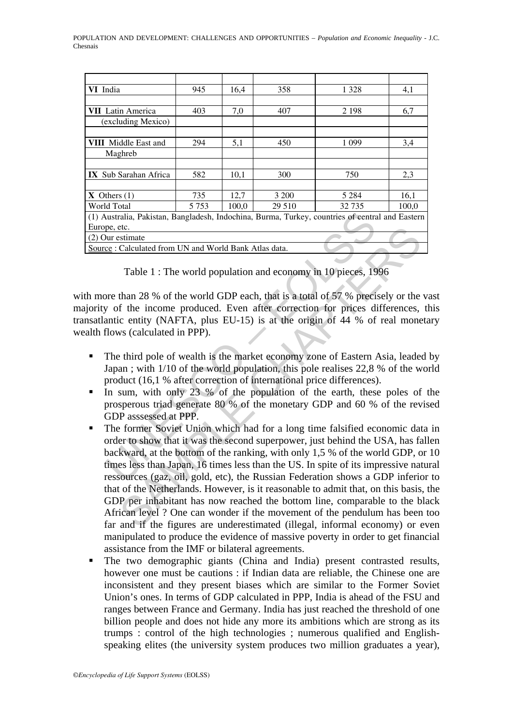| VI India                                                                                        | 945     | 16,4  | 358    | 1 3 2 8 | 4,1   |
|-------------------------------------------------------------------------------------------------|---------|-------|--------|---------|-------|
|                                                                                                 |         |       |        |         |       |
| <b>VII</b> Latin America                                                                        | 403     | 7,0   | 407    | 2 1 9 8 | 6,7   |
| (excluding Mexico)                                                                              |         |       |        |         |       |
|                                                                                                 |         |       |        |         |       |
| <b>VIII</b> Middle East and                                                                     | 294     | 5,1   | 450    | 1 0 9 9 | 3,4   |
| Maghreb                                                                                         |         |       |        |         |       |
|                                                                                                 |         |       |        |         |       |
| <b>IX</b> Sub Sarahan Africa                                                                    | 582     | 10,1  | 300    | 750     | 2,3   |
|                                                                                                 |         |       |        |         |       |
| $X$ Others $(1)$                                                                                | 735     | 12,7  | 3 200  | 5 2 8 4 | 16,1  |
| World Total                                                                                     | 5 7 5 3 | 100,0 | 29 510 | 32 735  | 100,0 |
| (1) Australia, Pakistan, Bangladesh, Indochina, Burma, Turkey, countries of central and Eastern |         |       |        |         |       |
| Europe, etc.                                                                                    |         |       |        |         |       |
| (2) Our estimate                                                                                |         |       |        |         |       |
| Source: Calculated from UN and World Bank Atlas data.                                           |         |       |        |         |       |

Table 1 : The world population and economy in 10 pieces, 1996

with more than 28 % of the world GDP each, that is a total of 57 % precisely or the vast majority of the income produced. Even after correction for prices differences, this transatlantic entity (NAFTA, plus EU-15) is at the origin of 44 % of real monetary wealth flows (calculated in PPP).

- The third pole of wealth is the market economy zone of Eastern Asia, leaded by Japan ; with 1/10 of the world population, this pole realises 22,8 % of the world product (16,1 % after correction of international price differences).
- In sum, with only 23 % of the population of the earth, these poles of the prosperous triad generate 80 % of the monetary GDP and 60 % of the revised GDP asssessed at PPP.
- In straita, Pakistan, Bangladesh, Indochina, Burma, Turkey, countries of eentrate<br>
Dur estimate<br>
Our estimate<br>
Cec: Calculated from UN and World Bank Atlas data.<br>
Table 1 : The world population and economy in 10 pieces, 19 etc.<br>
Stimate<br>
Stimate<br>
Calculated from UN and World Bank Atlas data.<br>
Table 1 : The world population and economy in 10 pieces, 1996<br>
than 28 % of the world GDP each, that is a total of 57 % precisely or the<br>
f the income The former Soviet Union which had for a long time falsified economic data in order to show that it was the second superpower, just behind the USA, has fallen backward, at the bottom of the ranking, with only 1,5 % of the world GDP, or 10 times less than Japan, 16 times less than the US. In spite of its impressive natural ressources (gaz, oil, gold, etc), the Russian Federation shows a GDP inferior to that of the Netherlands. However, is it reasonable to admit that, on this basis, the GDP per inhabitant has now reached the bottom line, comparable to the black African level ? One can wonder if the movement of the pendulum has been too far and if the figures are underestimated (illegal, informal economy) or even manipulated to produce the evidence of massive poverty in order to get financial assistance from the IMF or bilateral agreements.
- The two demographic giants (China and India) present contrasted results, however one must be cautions : if Indian data are reliable, the Chinese one are inconsistent and they present biases which are similar to the Former Soviet Union's ones. In terms of GDP calculated in PPP, India is ahead of the FSU and ranges between France and Germany. India has just reached the threshold of one billion people and does not hide any more its ambitions which are strong as its trumps : control of the high technologies ; numerous qualified and Englishspeaking elites (the university system produces two million graduates a year),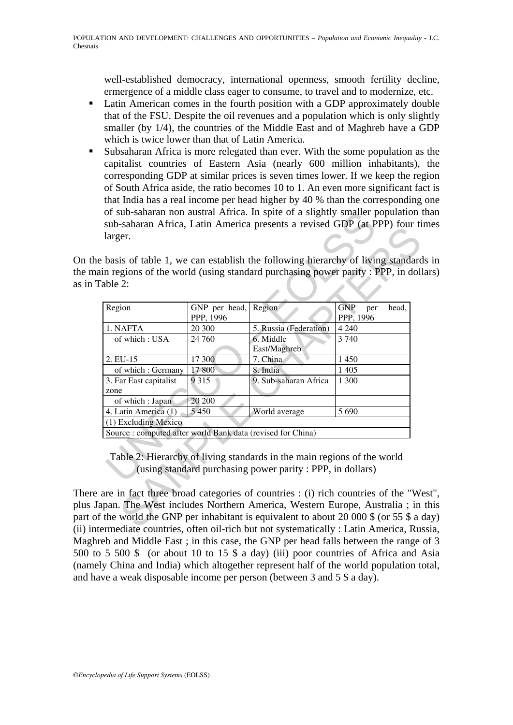well-established democracy, international openness, smooth fertility decline, ermergence of a middle class eager to consume, to travel and to modernize, etc.

- Latin American comes in the fourth position with a GDP approximately double that of the FSU. Despite the oil revenues and a population which is only slightly smaller (by 1/4), the countries of the Middle East and of Maghreb have a GDP which is twice lower than that of Latin America.
- Subsaharan Africa is more relegated than ever. With the some population as the capitalist countries of Eastern Asia (nearly 600 million inhabitants), the corresponding GDP at similar prices is seven times lower. If we keep the region of South Africa aside, the ratio becomes 10 to 1. An even more significant fact is that India has a real income per head higher by 40 % than the corresponding one of sub-saharan non austral Africa. In spite of a slightly smaller population than sub-saharan Africa, Latin America presents a revised GDP (at PPP) four times larger.

On the basis of table 1, we can establish the following hierarchy of living standards in the main regions of the world (using standard purchasing power parity : PPP, in dollars) as in Table 2:

|                                                             |                            | in regions of the world (using standard purchasing power parity: PPP, in doll                                                        |                                         |
|-------------------------------------------------------------|----------------------------|--------------------------------------------------------------------------------------------------------------------------------------|-----------------------------------------|
| able 2:                                                     |                            |                                                                                                                                      |                                         |
| Region                                                      | GNP per head,<br>PPP, 1996 | Region                                                                                                                               | <b>GNP</b><br>head,<br>per<br>PPP, 1996 |
| 1. NAFTA                                                    | 20 300                     | 5. Russia (Federation)                                                                                                               | 4 2 4 0                                 |
| of which: USA                                               | 24 760                     | 6. Middle<br>East/Maghreb                                                                                                            | 3 740                                   |
| 2. EU-15                                                    | 17 300                     | 7. China                                                                                                                             | 1 4 5 0                                 |
| of which: Germany                                           | 17 800                     | 8. India                                                                                                                             | 1 4 0 5                                 |
| 3. Far East capitalist<br>zone                              | 9 3 1 5                    | 9. Sub-saharan Africa                                                                                                                | 1 300                                   |
| of which : Japan                                            | 20 200                     |                                                                                                                                      |                                         |
| 4. Latin America (1)                                        | 5 4 5 0                    | World average                                                                                                                        | 5690                                    |
| (1) Excluding Mexico                                        |                            |                                                                                                                                      |                                         |
| Source : computed after world Bank data (revised for China) |                            |                                                                                                                                      |                                         |
|                                                             |                            | Table 2: Hierarchy of living standards in the main regions of the world<br>(using standard purchasing power parity: PPP, in dollars) |                                         |

There are in fact three broad categories of countries : (i) rich countries of the "West", plus Japan. The West includes Northern America, Western Europe, Australia ; in this part of the world the GNP per inhabitant is equivalent to about 20 000 \$ (or 55 \$ a day) (ii) intermediate countries, often oil-rich but not systematically : Latin America, Russia, Maghreb and Middle East ; in this case, the GNP per head falls between the range of 3 500 to 5 500 \$ (or about 10 to 15 \$ a day) (iii) poor countries of Africa and Asia (namely China and India) which altogether represent half of the world population total, and have a weak disposable income per person (between 3 and 5 \$ a day).